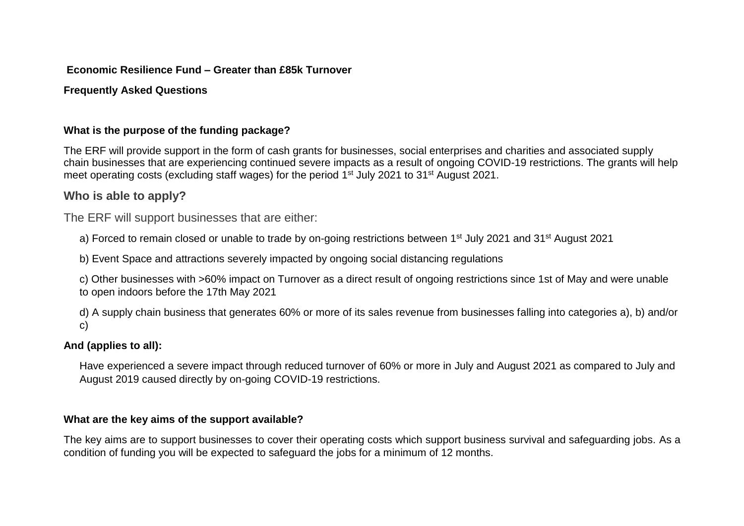### **Economic Resilience Fund – Greater than £85k Turnover**

# **Frequently Asked Questions**

# **What is the purpose of the funding package?**

The ERF will provide support in the form of cash grants for businesses, social enterprises and charities and associated supply chain businesses that are experiencing continued severe impacts as a result of ongoing COVID-19 restrictions. The grants will help meet operating costs (excluding staff wages) for the period 1<sup>st</sup> July 2021 to 31<sup>st</sup> August 2021.

# **Who is able to apply?**

The ERF will support businesses that are either:

a) Forced to remain closed or unable to trade by on-going restrictions between 1<sup>st</sup> July 2021 and 31<sup>st</sup> August 2021

b) Event Space and attractions severely impacted by ongoing social distancing regulations

c) Other businesses with >60% impact on Turnover as a direct result of ongoing restrictions since 1st of May and were unable to open indoors before the 17th May 2021

d) A supply chain business that generates 60% or more of its sales revenue from businesses falling into categories a), b) and/or c)

# **And (applies to all):**

Have experienced a severe impact through reduced turnover of 60% or more in July and August 2021 as compared to July and August 2019 caused directly by on-going COVID-19 restrictions.

# **What are the key aims of the support available?**

The key aims are to support businesses to cover their operating costs which support business survival and safeguarding jobs. As a condition of funding you will be expected to safeguard the jobs for a minimum of 12 months.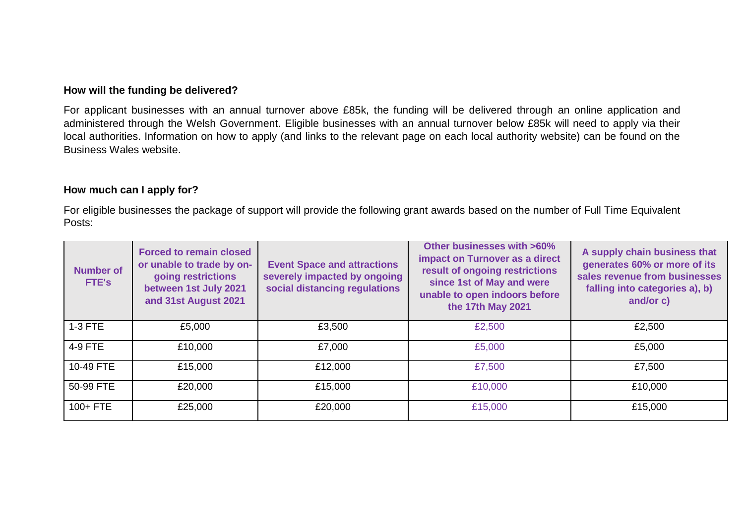#### **How will the funding be delivered?**

For applicant businesses with an annual turnover above £85k, the funding will be delivered through an online application and administered through the Welsh Government. Eligible businesses with an annual turnover below £85k will need to apply via their local authorities. Information on how to apply (and links to the relevant page on each local authority website) can be found on the Business Wales website.

#### **How much can I apply for?**

For eligible businesses the package of support will provide the following grant awards based on the number of Full Time Equivalent Posts:

| <b>Number of</b><br>FTE's | <b>Forced to remain closed</b><br>or unable to trade by on-<br>going restrictions<br>between 1st July 2021<br>and 31st August 2021 | <b>Event Space and attractions</b><br>severely impacted by ongoing<br>social distancing regulations | <b>Other businesses with &gt;60%</b><br>impact on Turnover as a direct<br>result of ongoing restrictions<br>since 1st of May and were<br>unable to open indoors before<br>the 17th May 2021 | A supply chain business that<br>generates 60% or more of its<br>sales revenue from businesses<br>falling into categories a), b)<br>and/or c) |
|---------------------------|------------------------------------------------------------------------------------------------------------------------------------|-----------------------------------------------------------------------------------------------------|---------------------------------------------------------------------------------------------------------------------------------------------------------------------------------------------|----------------------------------------------------------------------------------------------------------------------------------------------|
| 1-3 FTE                   | £5,000                                                                                                                             | £3,500                                                                                              | £2,500                                                                                                                                                                                      | £2,500                                                                                                                                       |
| 4-9 FTE                   | £10,000                                                                                                                            | £7,000                                                                                              | £5,000                                                                                                                                                                                      | £5,000                                                                                                                                       |
| 10-49 FTE                 | £15,000                                                                                                                            | £12,000                                                                                             | £7,500                                                                                                                                                                                      | £7,500                                                                                                                                       |
| 50-99 FTE                 | £20,000                                                                                                                            | £15,000                                                                                             | £10,000                                                                                                                                                                                     | £10,000                                                                                                                                      |
| $100 + FTE$               | £25,000                                                                                                                            | £20,000                                                                                             | £15,000                                                                                                                                                                                     | £15,000                                                                                                                                      |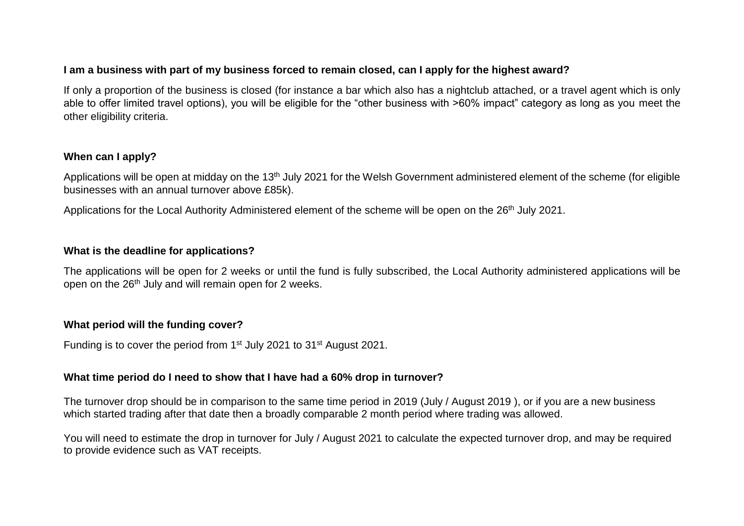#### **I am a business with part of my business forced to remain closed, can I apply for the highest award?**

If only a proportion of the business is closed (for instance a bar which also has a nightclub attached, or a travel agent which is only able to offer limited travel options), you will be eligible for the "other business with >60% impact" category as long as you meet the other eligibility criteria.

### **When can I apply?**

Applications will be open at midday on the 13<sup>th</sup> July 2021 for the Welsh Government administered element of the scheme (for eligible businesses with an annual turnover above £85k).

Applications for the Local Authority Administered element of the scheme will be open on the 26<sup>th</sup> July 2021.

### **What is the deadline for applications?**

The applications will be open for 2 weeks or until the fund is fully subscribed, the Local Authority administered applications will be open on the 26<sup>th</sup> July and will remain open for 2 weeks.

#### **What period will the funding cover?**

Funding is to cover the period from 1<sup>st</sup> July 2021 to 31<sup>st</sup> August 2021.

#### **What time period do I need to show that I have had a 60% drop in turnover?**

The turnover drop should be in comparison to the same time period in 2019 (July / August 2019 ), or if you are a new business which started trading after that date then a broadly comparable 2 month period where trading was allowed.

You will need to estimate the drop in turnover for July / August 2021 to calculate the expected turnover drop, and may be required to provide evidence such as VAT receipts.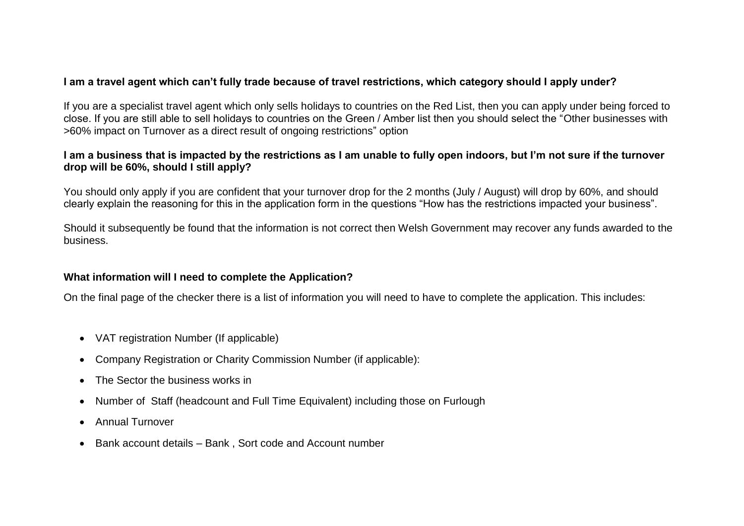# **I am a travel agent which can't fully trade because of travel restrictions, which category should I apply under?**

If you are a specialist travel agent which only sells holidays to countries on the Red List, then you can apply under being forced to close. If you are still able to sell holidays to countries on the Green / Amber list then you should select the "Other businesses with >60% impact on Turnover as a direct result of ongoing restrictions" option

#### **I am a business that is impacted by the restrictions as I am unable to fully open indoors, but I'm not sure if the turnover drop will be 60%, should I still apply?**

You should only apply if you are confident that your turnover drop for the 2 months (July / August) will drop by 60%, and should clearly explain the reasoning for this in the application form in the questions "How has the restrictions impacted your business".

Should it subsequently be found that the information is not correct then Welsh Government may recover any funds awarded to the business.

#### **What information will I need to complete the Application?**

On the final page of the checker there is a list of information you will need to have to complete the application. This includes:

- VAT registration Number (If applicable)
- Company Registration or Charity Commission Number (if applicable):
- The Sector the business works in
- Number of Staff (headcount and Full Time Equivalent) including those on Furlough
- Annual Turnover
- Bank account details Bank, Sort code and Account number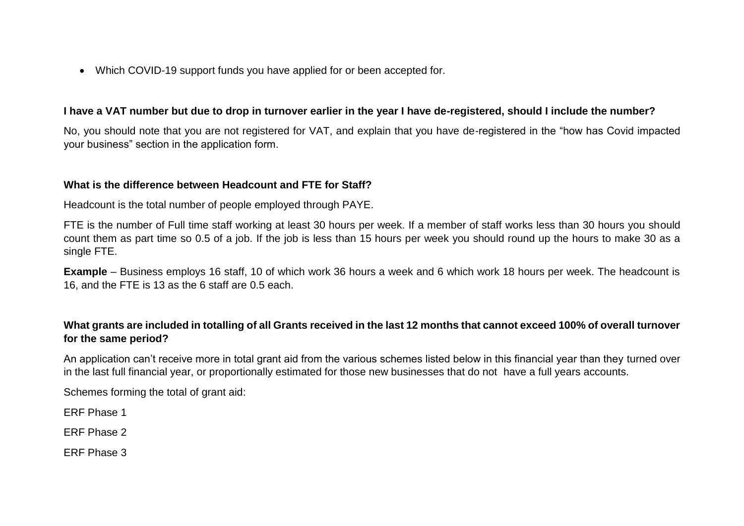Which COVID-19 support funds you have applied for or been accepted for.

#### **I have a VAT number but due to drop in turnover earlier in the year I have de-registered, should I include the number?**

No, you should note that you are not registered for VAT, and explain that you have de-registered in the "how has Covid impacted your business" section in the application form.

#### **What is the difference between Headcount and FTE for Staff?**

Headcount is the total number of people employed through PAYE.

FTE is the number of Full time staff working at least 30 hours per week. If a member of staff works less than 30 hours you should count them as part time so 0.5 of a job. If the job is less than 15 hours per week you should round up the hours to make 30 as a single FTE.

**Example** – Business employs 16 staff, 10 of which work 36 hours a week and 6 which work 18 hours per week. The headcount is 16, and the FTE is 13 as the 6 staff are 0.5 each.

### **What grants are included in totalling of all Grants received in the last 12 months that cannot exceed 100% of overall turnover for the same period?**

An application can't receive more in total grant aid from the various schemes listed below in this financial year than they turned over in the last full financial year, or proportionally estimated for those new businesses that do not have a full years accounts.

Schemes forming the total of grant aid:

ERF Phase 1

ERF Phase 2

ERF Phase 3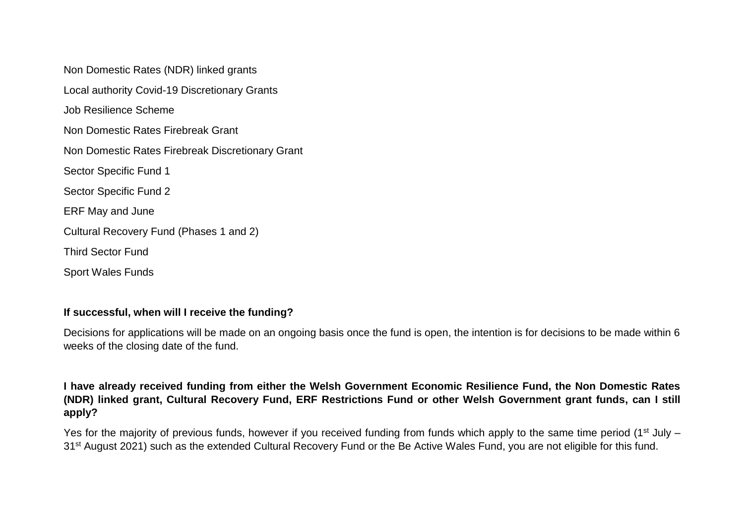Non Domestic Rates (NDR) linked grants Local authority Covid-19 Discretionary Grants Job Resilience Scheme Non Domestic Rates Firebreak Grant Non Domestic Rates Firebreak Discretionary Grant Sector Specific Fund 1 Sector Specific Fund 2 ERF May and June Cultural Recovery Fund (Phases 1 and 2) Third Sector Fund Sport Wales Funds

# **If successful, when will I receive the funding?**

Decisions for applications will be made on an ongoing basis once the fund is open, the intention is for decisions to be made within 6 weeks of the closing date of the fund.

**I have already received funding from either the Welsh Government Economic Resilience Fund, the Non Domestic Rates (NDR) linked grant, Cultural Recovery Fund, ERF Restrictions Fund or other Welsh Government grant funds, can I still apply?** 

Yes for the majority of previous funds, however if you received funding from funds which apply to the same time period (1<sup>st</sup> July – 31<sup>st</sup> August 2021) such as the extended Cultural Recovery Fund or the Be Active Wales Fund, you are not eligible for this fund.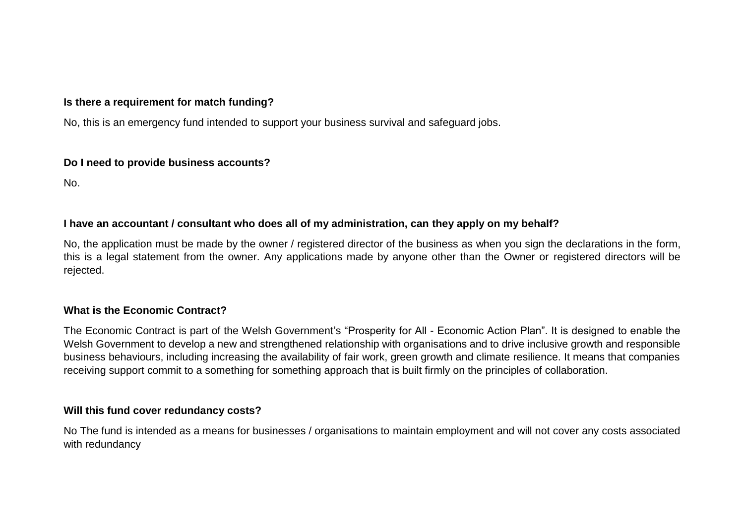# **Is there a requirement for match funding?**

No, this is an emergency fund intended to support your business survival and safeguard jobs.

#### **Do I need to provide business accounts?**

No.

### **I have an accountant / consultant who does all of my administration, can they apply on my behalf?**

No, the application must be made by the owner / registered director of the business as when you sign the declarations in the form, this is a legal statement from the owner. Any applications made by anyone other than the Owner or registered directors will be rejected.

#### **What is the Economic Contract?**

The Economic Contract is part of the Welsh Government's "Prosperity for All - Economic Action Plan". It is designed to enable the Welsh Government to develop a new and strengthened relationship with organisations and to drive inclusive growth and responsible business behaviours, including increasing the availability of fair work, green growth and climate resilience. It means that companies receiving support commit to a something for something approach that is built firmly on the principles of collaboration.

#### **Will this fund cover redundancy costs?**

No The fund is intended as a means for businesses / organisations to maintain employment and will not cover any costs associated with redundancy